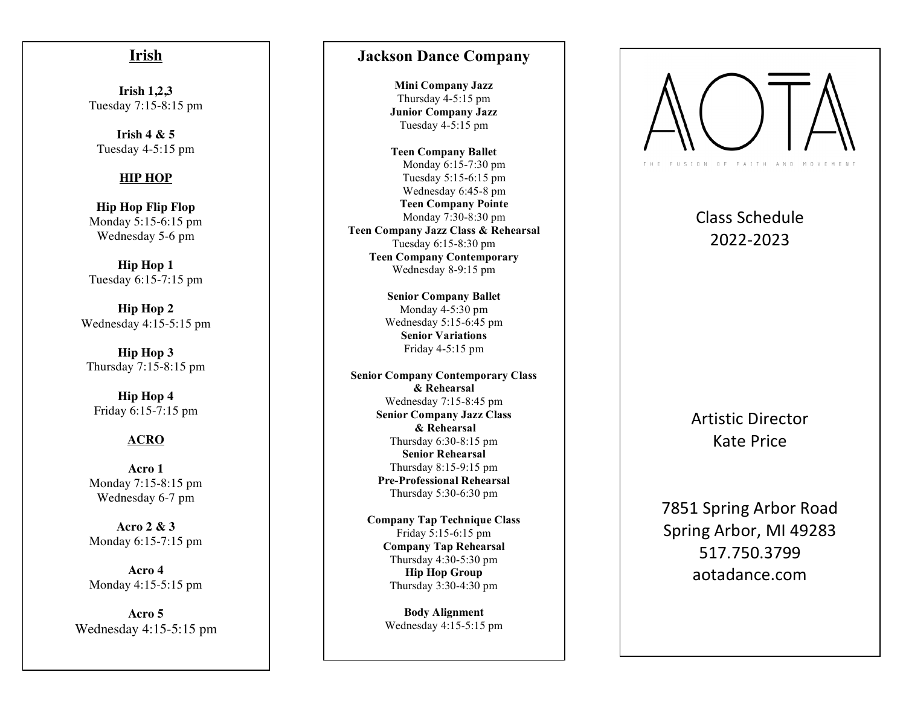### **Irish**

**Irish 1,2,3** Tuesday 7:15 -8:15 pm

**Irish 4 & 5** Tuesday 4 -5:15 pm

#### **HIP HOP**

**Hip Hop Flip Flop** Monday 5:15 -6:15 pm Wednesday 5 - 6 pm

**Hip Hop 1** Tuesday 6:15 - 7:15 pm

**Hip Hop 2** Wednesday 4:15 - 5:15 pm

**Hip Hop 3** Thursday 7:15 - 8:15 pm

**Hip Hop 4** Friday 6:15 -7:15 pm

#### **ACRO**

**Acro 1** Monday 7:15 -8:15 pm Wednesday 6-7 pm

**Acro 2 & 3** Monday 6:15 - 7:15 pm

**Acro 4** Monday 4:15 -5:15 pm

**Acro 5** Wednesday 4:15 - 5:15 pm

#### **Jackson Dance Company**

**Mini Company Jazz** Thursday 4 -5:15 pm **Junior Company Jazz** Tuesday 4 -5:15 pm

**Teen Company Ballet** Monday 6:15 -7:30 pm Tuesday 5:15 -6:15 pm Wednesday 6:45 -8 pm **Teen Company Pointe** Monday 7:30 -8:30 pm **Teen Company Jazz Class & Rehearsal** Tuesday 6:15 -8:30 pm **Teen Company Contemporary** Wednesday 8 -9:15 pm

> **Senior Company Ballet**  Monday 4-5:30 pm Wednesday 5:15 - 6:45 pm **Senior Variations** Friday 4 -5:15 pm

**Senior Company Contemporary Class & Rehearsal** Wednesday 7:15 -8:45 pm **Senior Company Jazz Class & Rehearsal** Thursday 6:30 -8:1 5 pm **Senior Rehearsal** Thursday 8:15 - 9:15 pm **Pre -Professional Rehearsal** Thursday 5:30 -6:30 pm

**Company Tap Technique Class** Friday 5:15-6:15 pm **Company Tap Rehearsal**  Thursday 4:30 -5:30 pm **Hip Hop Group** Thursday 3:30 -4:30 pm

> **Body Alignment**  Wednesday 4:15 -5:15 pm



# Class Schedule 2022 -2023

Artistic Director Kate Price

7851 Spring Arbor Road Spring Arbor, MI 49283 517.750.3799 aotadance.com